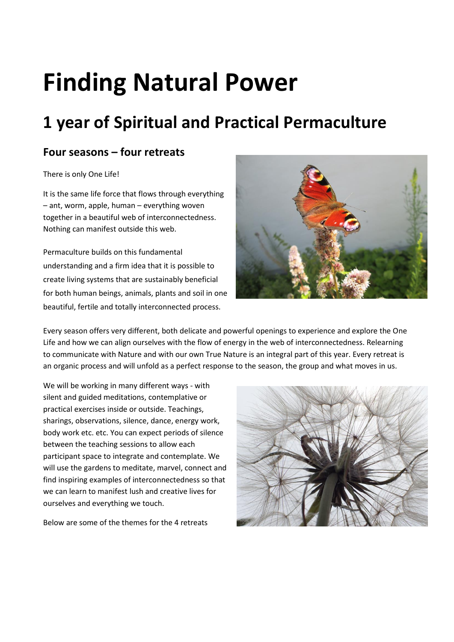# **Finding Natural Power**

## **1 year of Spiritual and Practical Permaculture**

### **Four seasons – four retreats**

#### There is only One Life!

It is the same life force that flows through everything – ant, worm, apple, human – everything woven together in a beautiful web of interconnectedness. Nothing can manifest outside this web.

Permaculture builds on this fundamental understanding and a firm idea that it is possible to create living systems that are sustainably beneficial for both human beings, animals, plants and soil in one beautiful, fertile and totally interconnected process.



Every season offers very different, both delicate and powerful openings to experience and explore the One Life and how we can align ourselves with the flow of energy in the web of interconnectedness. Relearning to communicate with Nature and with our own True Nature is an integral part of this year. Every retreat is an organic process and will unfold as a perfect response to the season, the group and what moves in us.

We will be working in many different ways - with silent and guided meditations, contemplative or practical exercises inside or outside. Teachings, sharings, observations, silence, dance, energy work, body work etc. etc. You can expect periods of silence between the teaching sessions to allow each participant space to integrate and contemplate. We will use the gardens to meditate, marvel, connect and find inspiring examples of interconnectedness so that we can learn to manifest lush and creative lives for ourselves and everything we touch.

Below are some of the themes for the 4 retreats

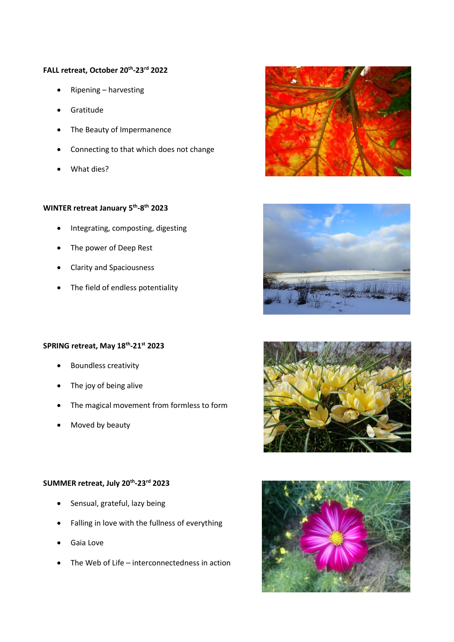#### **FALL retreat, October 20th -23rd 2022**

- Ripening harvesting
- **Gratitude**
- The Beauty of Impermanence
- Connecting to that which does not change
- What dies?

#### **WINTER retreat January 5th -8 th 2023**

- Integrating, composting, digesting
- The power of Deep Rest
- Clarity and Spaciousness
- The field of endless potentiality

#### **SPRING retreat, May 18th -21st 2023**

- Boundless creativity
- The joy of being alive
- The magical movement from formless to form
- Moved by beauty

#### **SUMMER retreat, July 20th -23rd 2023**

- Sensual, grateful, lazy being
- Falling in love with the fullness of everything
- Gaia Love
- The Web of Life interconnectedness in action







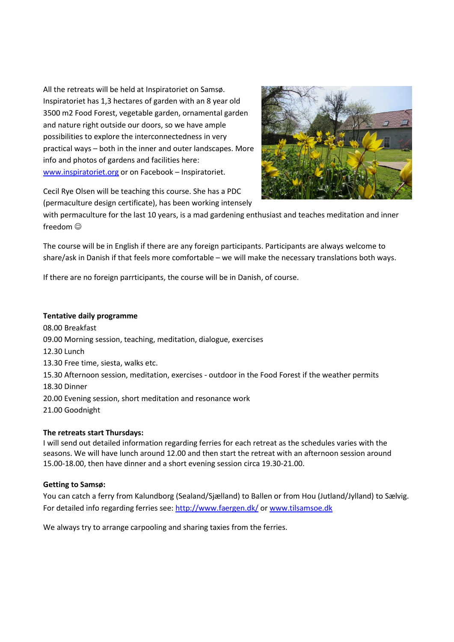All the retreats will be held at Inspiratoriet on Samsø. Inspiratoriet has 1,3 hectares of garden with an 8 year old 3500 m2 Food Forest, vegetable garden, ornamental garden and nature right outside our doors, so we have ample possibilities to explore the interconnectedness in very practical ways – both in the inner and outer landscapes. More info and photos of gardens and facilities here: [www.inspiratoriet.org](http://www.inspiratoriet.org/) or on Facebook – Inspiratoriet.



Cecil Rye Olsen will be teaching this course. She has a PDC (permaculture design certificate), has been working intensely

with permaculture for the last 10 years, is a mad gardening enthusiast and teaches meditation and inner freedom  $\odot$ 

The course will be in English if there are any foreign participants. Participants are always welcome to share/ask in Danish if that feels more comfortable – we will make the necessary translations both ways.

If there are no foreign parrticipants, the course will be in Danish, of course.

#### **Tentative daily programme**

08.00 Breakfast 09.00 Morning session, teaching, meditation, dialogue, exercises 12.30 Lunch 13.30 Free time, siesta, walks etc. 15.30 Afternoon session, meditation, exercises - outdoor in the Food Forest if the weather permits 18.30 Dinner 20.00 Evening session, short meditation and resonance work 21.00 Goodnight

#### **The retreats start Thursdays:**

I will send out detailed information regarding ferries for each retreat as the schedules varies with the seasons. We will have lunch around 12.00 and then start the retreat with an afternoon session around 15.00-18.00, then have dinner and a short evening session circa 19.30-21.00.

#### **Getting to Samsø:**

You can catch a ferry from Kalundborg (Sealand/Sjælland) to Ballen or from Hou (Jutland/Jylland) to Sælvig. For detailed info regarding ferries see:<http://www.faergen.dk/> o[r www.tilsamsoe.dk](http://www.tilsamsoe.dk/)

We always try to arrange carpooling and sharing taxies from the ferries.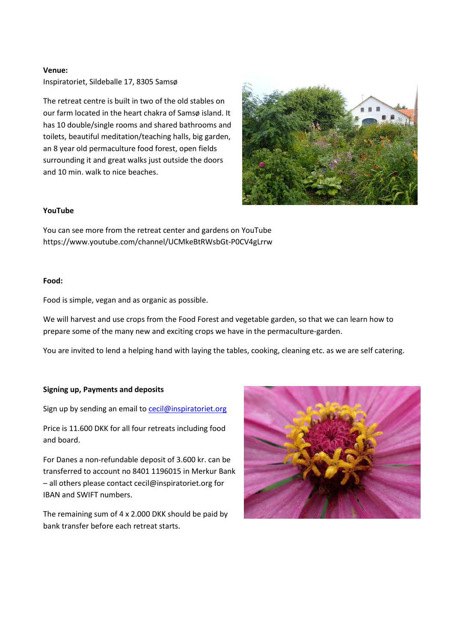#### **Venue:**

Inspiratoriet, Sildeballe 17, 8305 Samsø

The retreat centre is built in two of the old stables on our farm located in the heart chakra of Samsø island. It has 10 double/single rooms and shared bathrooms and toilets, beautiful meditation/teaching halls, big garden, an 8 year old permaculture food forest, open fields surrounding it and great walks just outside the doors and 10 min. walk to nice beaches.



#### **YouTube**

You can see more from the retreat center and gardens on YouTube https://www.youtube.com/channel/UCMkeBtRWsbGt-P0CV4gLrrw

#### **Food:**

Food is simple, vegan and as organic as possible.

We will harvest and use crops from the Food Forest and vegetable garden, so that we can learn how to prepare some of the many new and exciting crops we have in the permaculture-garden.

You are invited to lend a helping hand with laying the tables, cooking, cleaning etc. as we are self catering.

#### **Signing up, Payments and deposits**

Sign up by sending an email to [cecil@inspiratoriet.org](mailto:cecil@inspiratoriet.org)

Price is 11.600 DKK for all four retreats including food and board.

For Danes a non-refundable deposit of 3.600 kr. can be transferred to account no 8401 1196015 in Merkur Bank – all others please contact cecil@inspiratoriet.org for IBAN and SWIFT numbers.

The remaining sum of 4 x 2.000 DKK should be paid by bank transfer before each retreat starts.